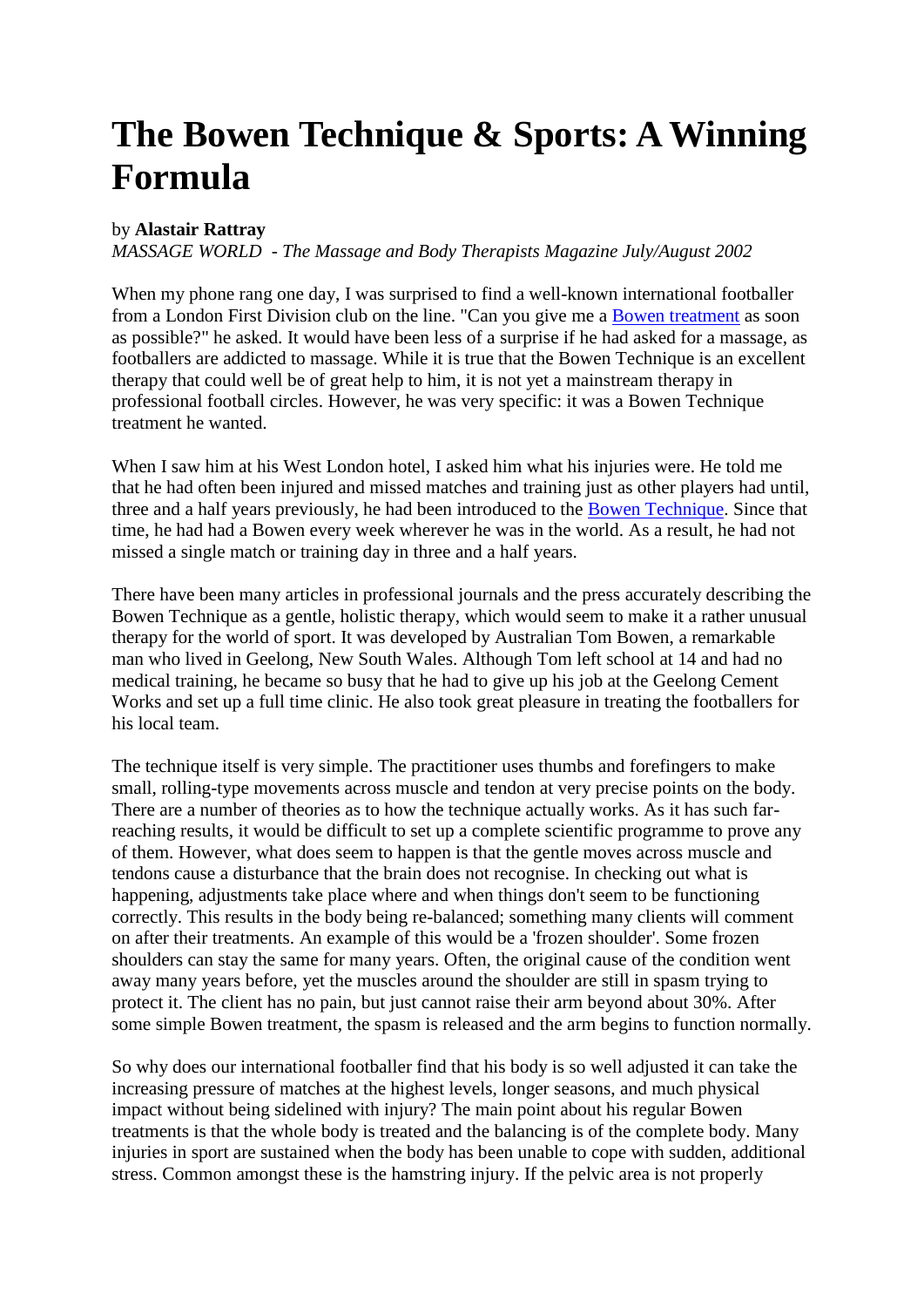## **The Bowen Technique & Sports: A Winning Formula**

## by **Alastair Rattray**

*MASSAGE WORLD - The Massage and Body Therapists Magazine July/August 2002* 

When my phone rang one day, I was surprised to find a well-known international footballer from a London First Division club on the line. "Can you give me a [Bowen treatment](http://www.lucyhollick.co.uk/bowen-therapy-treatments) as soon as possible?" he asked. It would have been less of a surprise if he had asked for a massage, as footballers are addicted to massage. While it is true that the Bowen Technique is an excellent therapy that could well be of great help to him, it is not yet a mainstream therapy in professional football circles. However, he was very specific: it was a Bowen Technique treatment he wanted.

When I saw him at his West London hotel, I asked him what his injuries were. He told me that he had often been injured and missed matches and training just as other players had until, three and a half years previously, he had been introduced to the [Bowen Technique.](http://www.lucyhollick.co.uk/what-is-bowen-therapy-and-the-bowen-technique) Since that time, he had had a Bowen every week wherever he was in the world. As a result, he had not missed a single match or training day in three and a half years.

There have been many articles in professional journals and the press accurately describing the Bowen Technique as a gentle, holistic therapy, which would seem to make it a rather unusual therapy for the world of sport. It was developed by Australian Tom Bowen, a remarkable man who lived in Geelong, New South Wales. Although Tom left school at 14 and had no medical training, he became so busy that he had to give up his job at the Geelong Cement Works and set up a full time clinic. He also took great pleasure in treating the footballers for his local team.

The technique itself is very simple. The practitioner uses thumbs and forefingers to make small, rolling-type movements across muscle and tendon at very precise points on the body. There are a number of theories as to how the technique actually works. As it has such farreaching results, it would be difficult to set up a complete scientific programme to prove any of them. However, what does seem to happen is that the gentle moves across muscle and tendons cause a disturbance that the brain does not recognise. In checking out what is happening, adjustments take place where and when things don't seem to be functioning correctly. This results in the body being re-balanced; something many clients will comment on after their treatments. An example of this would be a 'frozen shoulder'. Some frozen shoulders can stay the same for many years. Often, the original cause of the condition went away many years before, yet the muscles around the shoulder are still in spasm trying to protect it. The client has no pain, but just cannot raise their arm beyond about 30%. After some simple Bowen treatment, the spasm is released and the arm begins to function normally.

So why does our international footballer find that his body is so well adjusted it can take the increasing pressure of matches at the highest levels, longer seasons, and much physical impact without being sidelined with injury? The main point about his regular Bowen treatments is that the whole body is treated and the balancing is of the complete body. Many injuries in sport are sustained when the body has been unable to cope with sudden, additional stress. Common amongst these is the hamstring injury. If the pelvic area is not properly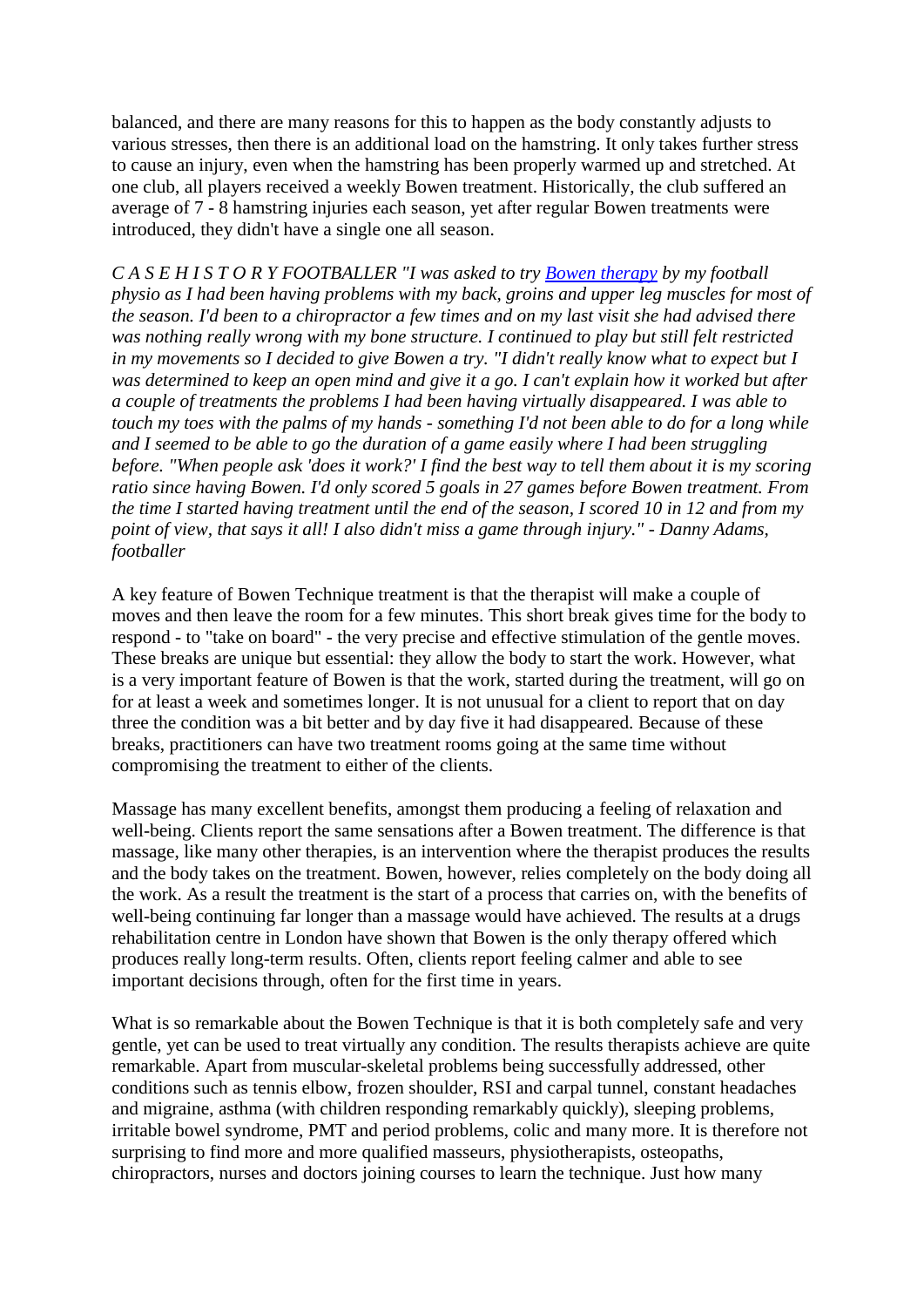balanced, and there are many reasons for this to happen as the body constantly adjusts to various stresses, then there is an additional load on the hamstring. It only takes further stress to cause an injury, even when the hamstring has been properly warmed up and stretched. At one club, all players received a weekly Bowen treatment. Historically, the club suffered an average of 7 - 8 hamstring injuries each season, yet after regular Bowen treatments were introduced, they didn't have a single one all season.

*C A S E H I S T O R Y FOOTBALLER "I was asked to try [Bowen therapy](http://www.lucyhollick.co.uk/) by my football physio as I had been having problems with my back, groins and upper leg muscles for most of the season. I'd been to a chiropractor a few times and on my last visit she had advised there was nothing really wrong with my bone structure. I continued to play but still felt restricted in my movements so I decided to give Bowen a try. "I didn't really know what to expect but I was determined to keep an open mind and give it a go. I can't explain how it worked but after a couple of treatments the problems I had been having virtually disappeared. I was able to touch my toes with the palms of my hands - something I'd not been able to do for a long while and I seemed to be able to go the duration of a game easily where I had been struggling before. "When people ask 'does it work?' I find the best way to tell them about it is my scoring ratio since having Bowen. I'd only scored 5 goals in 27 games before Bowen treatment. From the time I started having treatment until the end of the season, I scored 10 in 12 and from my point of view, that says it all! I also didn't miss a game through injury." - Danny Adams, footballer* 

A key feature of Bowen Technique treatment is that the therapist will make a couple of moves and then leave the room for a few minutes. This short break gives time for the body to respond - to "take on board" - the very precise and effective stimulation of the gentle moves. These breaks are unique but essential: they allow the body to start the work. However, what is a very important feature of Bowen is that the work, started during the treatment, will go on for at least a week and sometimes longer. It is not unusual for a client to report that on day three the condition was a bit better and by day five it had disappeared. Because of these breaks, practitioners can have two treatment rooms going at the same time without compromising the treatment to either of the clients.

Massage has many excellent benefits, amongst them producing a feeling of relaxation and well-being. Clients report the same sensations after a Bowen treatment. The difference is that massage, like many other therapies, is an intervention where the therapist produces the results and the body takes on the treatment. Bowen, however, relies completely on the body doing all the work. As a result the treatment is the start of a process that carries on, with the benefits of well-being continuing far longer than a massage would have achieved. The results at a drugs rehabilitation centre in London have shown that Bowen is the only therapy offered which produces really long-term results. Often, clients report feeling calmer and able to see important decisions through, often for the first time in years.

What is so remarkable about the Bowen Technique is that it is both completely safe and very gentle, yet can be used to treat virtually any condition. The results therapists achieve are quite remarkable. Apart from muscular-skeletal problems being successfully addressed, other conditions such as tennis elbow, frozen shoulder, RSI and carpal tunnel, constant headaches and migraine, asthma (with children responding remarkably quickly), sleeping problems, irritable bowel syndrome, PMT and period problems, colic and many more. It is therefore not surprising to find more and more qualified masseurs, physiotherapists, osteopaths, chiropractors, nurses and doctors joining courses to learn the technique. Just how many